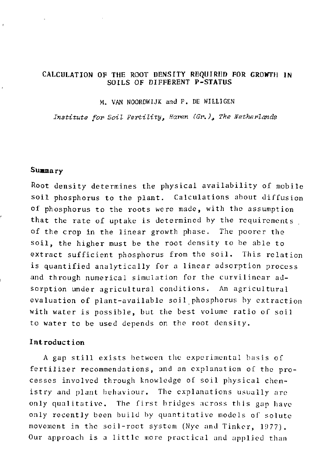## **CALCULATION OF THE ROOT DENSITY REQUIRED FOR GROWTH IN SOILS OF DIFFERENT P-STATUS**

M. VAN NOORDWIJK and P. DE WILLIGEN

*Institute for Soil Fertility, Haven (Gr.), The Netherlands* 

#### **Summary**

Root density determines the physical availability of mobile soil phosphorus to the plant. Calculations about diffusion of phosphorus to the roots were made, with the assumption that the rate of uptake is determined by the requirements of the crop in the linear growth phase. The poorer the soil, the higher must be the root density to be able to extract sufficient phosphorus from the soil. This relation is quantified analytically for a linear adsorption process and through numerical simulation for the curvilinear adsorption under agricultural conditions. An agricultural evaluation of plant-available soil phosphorus by extraction with water is possible, but the best volume ratio of soil to water to be used depends on the root density.

#### **Introduction**

A gap still exists between the experimental basis of fertilizer recommendations, and an explanation of the processes involved through knowledge of soil physical chemistry and plant behaviour. The explanations usually arc only qualitative. The first bridges across this gap have only recently been build by quantitative models of solute movement in the soil-root system (Nye and Tinker, 1977). Our approach is a little more practical and applied than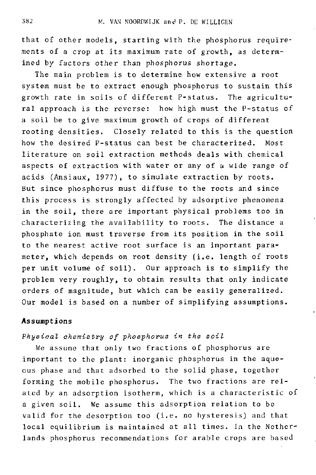that of other models, starting with the phosphorus requirements of a crop at its maximum rate of growth, as determined by factors other than phosphorus shortage.

The main problem is to determine how extensive a root system must be to extract enough phosphorus to sustain this growth rate in soils of different P-status. The agricultural approach is the reverse: how high must the P-status of a soil be to give maximum growth of crops of different rooting densities. Closely related to this is the question how the desired P-status can best be characterized. Most literature on soil extraction methods deals with chemical aspects of extraction with water or any of a wide range of acids (Ansiaux, 1977), to simulate extraction by roots. But since phosphorus must diffuse to the roots and since this process is strongly affected by adsorptive phenomena in the soil, there are important physical problems too in characterizing the availability to roots. The distance a phosphate ion must traverse from its position in the soil to the nearest active root surface is an important parameter, which depends on root density (i.e. length of roots per unit volume of soil). Our approach is to simplify the problem very roughly, to obtain results that only indicate orders of magnitude, but which can be easily generalized. Our model is based on a number of simplifying assumptions.

# **Assumptions**

## *Physical chemistry of phosphorus in the soil*

We assume that only two fractions of phosphorus are important to the plant: inorganic phosphorus in the aqueous phase and that adsorbed to the solid phase, together forming the mobile phosphorus. The two fractions are related by an adsorption isotherm, which is a characteristic of a given soil. We assume this adsorption relation to be valid for the desorption too (i.e. no hysteresis) and that local equilibrium is maintained at all times. In the Netherlands phosphorus recommendations for arable crops are based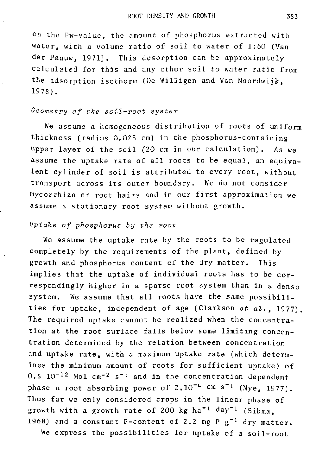on the Pw-value, tlic amount of phosphorus extracted with water, with a volume ratio of soil to water of 1:60 (Van der Paauw, 1971). This desorption can be approximately calculated for this and any other soil to water ratio from the adsorption isotherm (De Willigen and Van Noordwijk, 1978).

#### *Geometry of the soil-root system*

We assume a homogeneous distribution of roots of uniform thickness (radius 0.025 cm) in the phosphorus-containing upper layer of the soil  $(20 \text{ cm in our calculation}).$ As we assume the uptake rate of all roots to be equal, an equivalent cylinder of soil is attributed to every root, without transport across its outer boundary. We do not consider mycorrhiza or root hairs and in our first approximation we assume a stationary root system without growth.

## *Uptake of phosphorus by the root*

We assume the uptake rate by the roots to be regulated completely by the requirements of the plant, defined by growth and phosphorus content of the dry matter. This implies that the uptake of individual roots has to be correspondingly higher in a sparse root system than in a dense system. We assume that all roots have the same possibilities for uptake, independent of age (Clarkson *et al.,* 1977), The required uptake cannot be realized when the concentration at the root surface falls below some limiting concentration determined by the relation between concentration and uptake rate, with a maximum uptake rate (which determines the minimum amount of roots for sufficient uptake) of  $0.5 \times 10^{-12}$  Mol cm<sup>-2</sup> s<sup>-1</sup> and in the concentration phase a root absorbing power of  $2.10^{-4}$  cm s<sup>-1</sup> (Nye, 1977). Thus far we only considered crops in the linear phase of growth with a growth rate of 200 kg ha<sup>-1</sup> day  $\frac{19681}{2}$  and a constant P-content of 2.2 mg P  $\sigma^{-1}$ .

We express the possibilities for uptake of a soil-root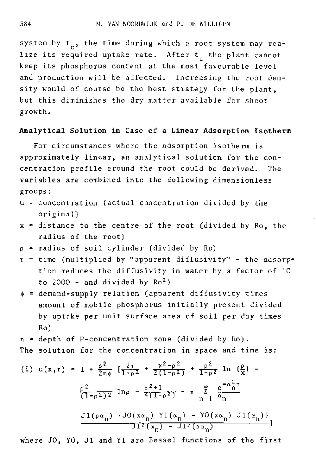system by  $t_{n}$ , the time during which a root system may realize its required uptake rate. After  $t_c$  the plant cannot keep its phosphorus content at the most favourable level and production will be affected. Increasing the root density would of course be the best strategy for the plant, but this diminishes the dry matter available for shoot growth.

#### **Analytical Solution in Case of a Linear Adsorption Isotherm**

For circumstances where the adsorption isotherm is approximately linear, an analytical solution for the concentration profile around the root could be derived. The variables are combined into the following dimensionless groups :

- u = concentration (actual concentration divided by the original)
- $x =$  distance to the centre of the root (divided by Ro, the radius of the root)
- p = radius of soil cylinder (divided by Ro)
- $\tau$  = time (multiplied by "apparent diffusivity" the adsorption reduces the diffusivity in water by a factor of 10 to 2000 - and divided by  $Ro^2$ )
- $\phi$  = demand-supply relation (apparent diffusivity times amount of mobile phosphorus initially present divided by uptake per unit surface area of soil per day times Ro)
- n = depth of P-concentration zone (divided by Ro).
- The solution for the concentration in space and time is:

(1) 
$$
u(x,\tau) = 1 + \frac{\rho^2}{2n\phi} \left[ \frac{2\tau}{1-\rho^2} + \frac{x^2-\rho^2}{2(1-\rho^2)} + \frac{\rho^2}{1-\rho^2} \ln \left( \frac{\rho}{x} \right) - \frac{\rho^2}{(1-\rho^2)^2} \ln \rho - \frac{\rho^2+1}{4(1-\rho^2)} - \pi \sum_{n=1}^{\infty} \frac{e^{-\alpha_n^2 \tau}}{\alpha_n}
$$
  

$$
\frac{J1(\rho\alpha_n) \left( J0(x\alpha_n) Y1(\alpha_n) - Y0(x\alpha_n) J1(\alpha_n) \right)}{J1^2(\alpha_n) - J1^2(\rho\alpha_n)}
$$

where JO, YO, Jl and Yl are Bessel functions of the first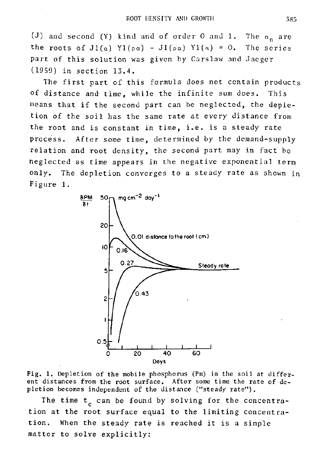$(J)$  and second  $(Y)$  kind and of order 0 and 1. The  $\alpha_n$  are the roots of  $Jl(\alpha)$  Yl( $\rho \alpha$ ) -  $Jl(\rho \alpha)$  Yl( $\alpha$ ) = 0. The series part of this solution was given by Carslaw and Jaeger (19S9) in section 13.4.

The first part of this formula does not contain products of distance and time, while the infinite sum does. This means that if the second part can be neglected, the depletion of the soil has the same rate at every distance from the root and is constant in time, i.e. is a steady rate process. After *some* time, determined by the demand-supply relation and root density, the second part may in fact be neglected as time appears in the negative exponential term only. The depletion converges to a steady rate as shown in Figure 1.



Fig. 1. Depletion of the mobile phosphorus (Pm) in the soil at different distances from the root surface. After some time the rate of depletion becomes independent of the distance ("steady rate").

The time  $t_c$  can be found by solving for the concentration at the root surface equal to the limiting concentration. When the steady rate is reached it is a simple matter to solve explicitly: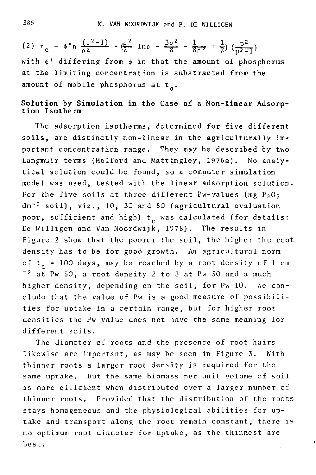(2) 
$$
\tau_c = \phi^* \eta \frac{(\rho^2 - 1)}{\rho^2} - \frac{\rho^2}{2} \ln \rho - \frac{3\rho^2}{8} - \frac{1}{8\rho^2} + \frac{1}{2} (\frac{p^2}{\rho^2 - 1})
$$

with  $\phi^*$  differing from  $\phi$  in that the amount of phosphorus at the limiting concentration is substracted from the amount of mobile phosphorus at  $t_a$ .

# **Solution by Simulation in the Case of a Non-linear Adsorption Isotherm**

The adsorption isotherms, determined for five different soils, are distinctly non-linear in the agriculturally important concentration range. They may be described by two Langmuir terms (Holford and Mattingley, 1976a). No analytical solution could be found, so a computer simulation model was used, tested with the linear adsorption solution. For the five soils at three different Pw-values (mg  $P_2O_5$ dm<sup>-3</sup> soil), viz., 10, 30 and 50 (agricultural ev poor, sufficient and high) t was calculated (for details: De Willigen and Van Noordwijk, 1978). The results in Figure 2 show that the poorer the soil, the higher the root density has to be for good growth. An agricultural norm of  $t_a$  = 100 days, may be reached by a root density of 1 cm  $-2$  at Pw 50, a root density 2 to 3 at P higher density, depending on the soil, for Pw 10. We conclude that the value of Pw is a good measure of possibilities for uptake in a certain range, but for higher root densities the Pw value does not have the same meaning for different soils.

The diameter of roots and the presence of root hairs likewise are important, as may be seen in Figure 3. With thinner roots a larger root density is required for the same uptake. But the same biomass per unit volume of soil is more efficient when distributed over a larger number of thinner roots. Provided that the distribution of the roots stays homogeneous and the physiological abilities for uptake and transport along the root remain constant, there is no optimum root diameter for uptake, as the thinnest are best.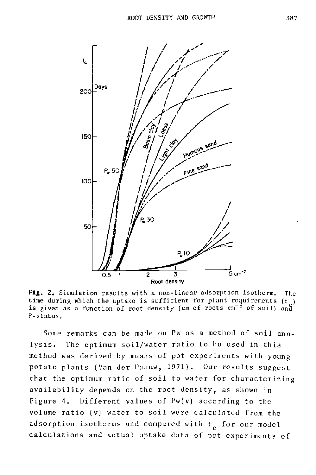

Fig. 2. Simulation results with a non-linear adsorption isotherm. The time during which the uptake is sufficient for plant requirements  $(t_0)$ is given as a function of root density (cm of roots  $\mathrm{cm}^{-3}$  of so. P-status.

Some remarks can be made on Pw as a method of soil analysis. The optimum soil/water ratio to be used in this method was derived by means of pot experiments with young potato plants (Van der Paauw, 1971). Our results suggest that the optimum ratio of soil to water for characterizing availability depends on the root density, as shown in Figure 4. Different values of  $P_W(v)$  according to the volume ratio  $(v)$  water to soil were calculated from the adsorption isotherms and compared with  $t_c$  for our model calculations and actual uptake data of pot experiments of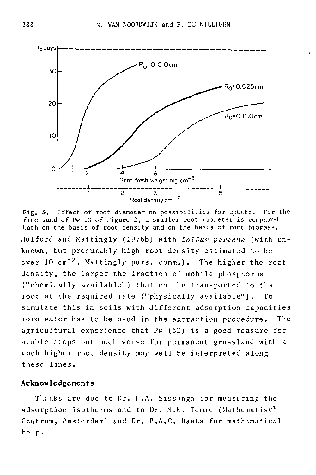

Fig. 3. Effect of root diameter on possibilities for uptake. For the fine sand of Pw 10 of Figure 2, a smaller root diameter is compared both on the basis of root density and on the basis of root biomass. Holford and Mattingly (1976b) with *Lolium perenne* (with unknown, but presumably high root density estimated to be over 10 cm<sup>-2</sup>, Mattingly pers. comm.). The higher the root density, the larger the fraction of mobile phosphorus ("chemically available") that can be transported to the root at the required rate ("physically available"). Tо simulate this in soils with different adsorption capacities more water has to be used in the extraction procedure. The agricultural experience that Pw (60) is a good measure for arable crops but much worse for permanent grassland with a much higher root density may well be interpreted along these lines.

### **Acknowledgements**

Thanks are due to Dr. H.A. Sissingh for measuring the adsorption isotherms and to Dr. N.N. Temme (Mathematisch Centrum, Amsterdam) and Dr. P.A.C. Raats for mathematical help.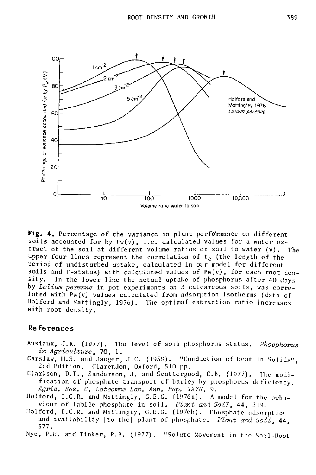

Fig. 4. Percentage of the variance in plant performance on different soils accounted for by  $P_W(v)$ , i.e. calculated values for a water  $ex$ tract of the soil at different volume ratios of soil to water  $(v)$ . The upper four lines represent the correlation of  $t_c$  (the length of the period of undisturbed uptake, calculated in our model for different soils and P-status) with calculated values of  $Pw(v)$ , for each root density. In the lower line the actual uptake of phosphorus after 40 days by *Lolium perenne* in pot experiments on 3 calcareous soils, was corre lated with  $Pw(v)$  values calculated from adsorption isotherms (data of Holford and Mattingly, 1976). The optimal extraction ratio increases with root density.

# Reference s

- Ansiaux, J.R. (1977). The level of soil phosphorus status. *Phosphorus in Agriculture,* 70, 1.
- Carslaw, H.S. and Jaeger, J.C. (1959). "Conduction of Heat in Solids". 2nd Edition. Clarendon, Oxford, 510 pp.
- Clarkson, D.T., Sanderson, J. and Scattergood, C.B. (1977). The modification of phosphate transport of barley by phosphorus deficiency. *Agrio. Res. C. Letoornbe Lab. Ann. Rep. 2970,* 9.
- Holford, I.C.R. and Mattingly, C.C.G. (1976a). A model for the behaviour of labile phosphate in soil. *Plant and Soil*, 44, 219.
- Holford, I.C.R. and Mattingly, G.E.G. (1976b). Phosphate adsorptioand availability [to the] plant of phosphate. Plant and Soil, 44, 377.
- Nye, P.II. and Tinker, P.B. (1977). "Solute Movement in the Soil-Root